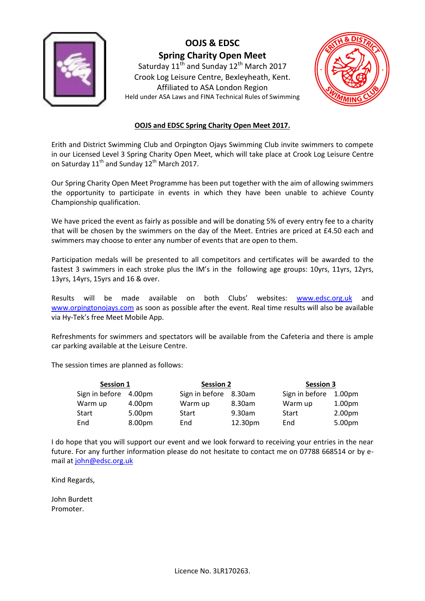

Saturday  $11<sup>th</sup>$  and Sunday  $12<sup>th</sup>$  March 2017 Crook Log Leisure Centre, Bexleyheath, Kent. Affiliated to ASA London Region Held under ASA Laws and FINA Technical Rules of Swimming



#### **OOJS and EDSC Spring Charity Open Meet 2017.**

Erith and District Swimming Club and Orpington Ojays Swimming Club invite swimmers to compete in our Licensed Level 3 Spring Charity Open Meet, which will take place at Crook Log Leisure Centre on Saturday 11<sup>th</sup> and Sunday 12<sup>th</sup> March 2017.

Our Spring Charity Open Meet Programme has been put together with the aim of allowing swimmers the opportunity to participate in events in which they have been unable to achieve County Championship qualification.

We have priced the event as fairly as possible and will be donating 5% of every entry fee to a charity that will be chosen by the swimmers on the day of the Meet. Entries are priced at £4.50 each and swimmers may choose to enter any number of events that are open to them.

Participation medals will be presented to all competitors and certificates will be awarded to the fastest 3 swimmers in each stroke plus the IM's in the following age groups: 10yrs, 11yrs, 12yrs, 13yrs, 14yrs, 15yrs and 16 & over.

Results will be made available on both Clubs' websites: [www.edsc.org.uk](http://www.edsc.org.uk/) and [www.orpingtonojays.com](http://www.orpingtonojays.com/) as soon as possible after the event. Real time results will also be available via Hy-Tek's free Meet Mobile App.

Refreshments for swimmers and spectators will be available from the Cafeteria and there is ample car parking available at the Leisure Centre.

The session times are planned as follows:

| Session 1      |        | <b>Session 2</b>      |         | <b>Session 3</b> |                    |  |
|----------------|--------|-----------------------|---------|------------------|--------------------|--|
| Sign in before | 4.00pm | Sign in before 8.30am |         | Sign in before   | 1.00 <sub>pm</sub> |  |
| Warm up        | 4.00pm | Warm up               | 8.30am  | Warm up          | 1.00 <sub>pm</sub> |  |
| Start          | 5.00pm | Start                 | 9.30am  | Start            | 2.00 <sub>pm</sub> |  |
| End            | 8.00pm | End                   | 12.30pm | End              | 5.00pm             |  |

I do hope that you will support our event and we look forward to receiving your entries in the near future. For any further information please do not hesitate to contact me on 07788 668514 or by email at [john@edsc.org.uk](mailto:john@edsc.org.uk)

Kind Regards,

John Burdett Promoter.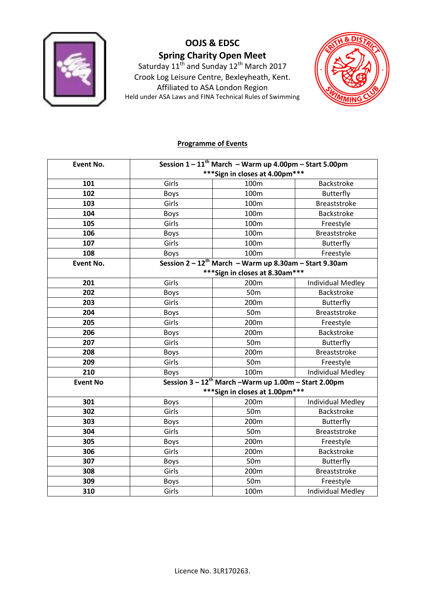

Saturday 11<sup>th</sup> and Sunday 12<sup>th</sup> March 2017 Crook Log Leisure Centre, Bexleyheath, Kent. Affiliated to ASA London Region Held under ASA Laws and FINA Technical Rules of Swimming



#### **Programme of Events**

| <b>Event No.</b> | Session $1 - 11$ <sup>th</sup> March - Warm up 4.00pm - Start 5.00pm |                                                                      |                          |
|------------------|----------------------------------------------------------------------|----------------------------------------------------------------------|--------------------------|
|                  |                                                                      | *** Sign in closes at 4.00pm***                                      |                          |
| 101              | Girls                                                                | 100m                                                                 | Backstroke               |
| 102              | Boys                                                                 | 100m                                                                 | <b>Butterfly</b>         |
| 103              | Girls                                                                | 100m                                                                 | <b>Breaststroke</b>      |
| 104              | <b>Boys</b>                                                          | 100m                                                                 | <b>Backstroke</b>        |
| 105              | Girls                                                                | 100m                                                                 | Freestyle                |
| 106              | <b>Boys</b>                                                          | 100m                                                                 | Breaststroke             |
| 107              | Girls                                                                | 100m                                                                 | <b>Butterfly</b>         |
| 108              | <b>Boys</b>                                                          | 100m                                                                 | Freestyle                |
| <b>Event No.</b> |                                                                      | Session $2 - 12$ <sup>th</sup> March - Warm up 8.30am - Start 9.30am |                          |
|                  |                                                                      | *** Sign in closes at 8.30am***                                      |                          |
| 201              | Girls                                                                | 200m                                                                 | <b>Individual Medley</b> |
| 202              | <b>Boys</b>                                                          | 50 <sub>m</sub>                                                      | <b>Backstroke</b>        |
| 203              | Girls                                                                | 200m                                                                 | <b>Butterfly</b>         |
| 204              | <b>Boys</b>                                                          | 50 <sub>m</sub>                                                      | <b>Breaststroke</b>      |
| 205              | Girls                                                                | 200m                                                                 | Freestyle                |
| 206              | <b>Boys</b>                                                          | 200m                                                                 | Backstroke               |
| 207              | Girls                                                                | 50 <sub>m</sub>                                                      | <b>Butterfly</b>         |
| 208              | <b>Boys</b>                                                          | 200m                                                                 | <b>Breaststroke</b>      |
| 209              | Girls                                                                | 50 <sub>m</sub>                                                      | Freestyle                |
| 210              | Boys                                                                 | 100m                                                                 | <b>Individual Medley</b> |
| <b>Event No</b>  |                                                                      | Session 3 - 12 <sup>th</sup> March -Warm up 1.00m - Start 2.00pm     |                          |
|                  |                                                                      | *** Sign in closes at 1.00pm***                                      |                          |
| 301              | <b>Boys</b>                                                          | 200m                                                                 | <b>Individual Medley</b> |
| 302              | Girls                                                                | 50 <sub>m</sub>                                                      | <b>Backstroke</b>        |
| 303              | <b>Boys</b>                                                          | 200m                                                                 | <b>Butterfly</b>         |
| 304              | Girls                                                                | 50 <sub>m</sub>                                                      | <b>Breaststroke</b>      |
| 305              | <b>Boys</b>                                                          | 200m                                                                 | Freestyle                |
| 306              | Girls                                                                | 200m                                                                 | Backstroke               |
| 307              | <b>Boys</b>                                                          | 50 <sub>m</sub>                                                      | <b>Butterfly</b>         |
| 308              | Girls                                                                | 200m                                                                 | <b>Breaststroke</b>      |
| 309              | Boys                                                                 | 50 <sub>m</sub>                                                      | Freestyle                |
| 310              | Girls                                                                | 100m                                                                 | <b>Individual Medley</b> |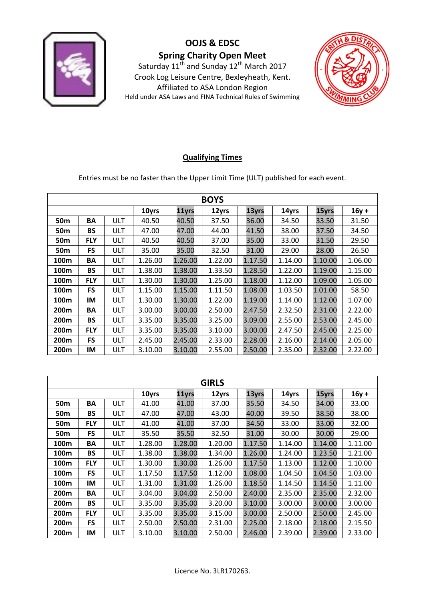

Saturday 11<sup>th</sup> and Sunday 12<sup>th</sup> March 2017 Crook Log Leisure Centre, Bexleyheath, Kent. Affiliated to ASA London Region Held under ASA Laws and FINA Technical Rules of Swimming



### **Qualifying Times**

Entries must be no faster than the Upper Limit Time (ULT) published for each event.

| <b>BOYS</b>                                        |            |     |         |         |         |         |         |         |         |
|----------------------------------------------------|------------|-----|---------|---------|---------|---------|---------|---------|---------|
| 13yrs<br>10yrs<br>12yrs<br>15yrs<br>11yrs<br>14yrs |            |     |         |         |         |         |         | $16y +$ |         |
| 50 <sub>m</sub>                                    | BA         | ULT | 40.50   | 40.50   | 37.50   | 36.00   | 34.50   | 33.50   | 31.50   |
| 50 <sub>m</sub>                                    | <b>BS</b>  | ULT | 47.00   | 47.00   | 44.00   | 41.50   | 38.00   | 37.50   | 34.50   |
| 50m                                                | <b>FLY</b> | ULT | 40.50   | 40.50   | 37.00   | 35.00   | 33.00   | 31.50   | 29.50   |
| 50 <sub>m</sub>                                    | <b>FS</b>  | ULT | 35.00   | 35.00   | 32.50   | 31.00   | 29.00   | 28.00   | 26.50   |
| 100m                                               | BA         | ULT | 1.26.00 | 1.26.00 | 1.22.00 | 1.17.50 | 1.14.00 | 1.10.00 | 1.06.00 |
| 100m                                               | <b>BS</b>  | ULT | 1.38.00 | 1.38.00 | 1.33.50 | 1.28.50 | 1.22.00 | 1.19.00 | 1.15.00 |
| 100 <sub>m</sub>                                   | <b>FLY</b> | ULT | 1.30.00 | 1.30.00 | 1.25.00 | 1.18.00 | 1.12.00 | 1.09.00 | 1.05.00 |
| 100m                                               | <b>FS</b>  | ULT | 1.15.00 | 1.15.00 | 1.11.50 | 1.08.00 | 1.03.50 | 1.01.00 | 58.50   |
| 100 <sub>m</sub>                                   | IM         | ULT | 1.30.00 | 1.30.00 | 1.22.00 | 1.19.00 | 1.14.00 | 1.12.00 | 1.07.00 |
| 200m                                               | BA         | ULT | 3.00.00 | 3.00.00 | 2.50.00 | 2.47.50 | 2.32.50 | 2.31.00 | 2.22.00 |
| 200 <sub>m</sub>                                   | <b>BS</b>  | ULT | 3.35.00 | 3.35.00 | 3.25.00 | 3.09.00 | 2.55.00 | 2.53.00 | 2.45.00 |
| 200m                                               | <b>FLY</b> | ULT | 3.35.00 | 3.35.00 | 3.10.00 | 3.00.00 | 2.47.50 | 2.45.00 | 2.25.00 |
| 200 <sub>m</sub>                                   | <b>FS</b>  | ULT | 2.45.00 | 2.45.00 | 2.33.00 | 2.28.00 | 2.16.00 | 2.14.00 | 2.05.00 |
| 200m                                               | IM         | ULT | 3.10.00 | 3.10.00 | 2.55.00 | 2.50.00 | 2.35.00 | 2.32.00 | 2.22.00 |

| <b>GIRLS</b>                                       |            |     |         |         |         |         |         |         |         |
|----------------------------------------------------|------------|-----|---------|---------|---------|---------|---------|---------|---------|
| 13yrs<br>15yrs<br>10yrs<br>12yrs<br>11yrs<br>14yrs |            |     |         |         |         |         |         | $16y +$ |         |
| 50m                                                | BA         | ULT | 41.00   | 41.00   | 37.00   | 35.50   | 34.50   | 34.00   | 33.00   |
| 50 <sub>m</sub>                                    | <b>BS</b>  | ULT | 47.00   | 47.00   | 43.00   | 40.00   | 39.50   | 38.50   | 38.00   |
| 50 <sub>m</sub>                                    | <b>FLY</b> | ULT | 41.00   | 41.00   | 37.00   | 34.50   | 33.00   | 33.00   | 32.00   |
| 50 <sub>m</sub>                                    | <b>FS</b>  | ULT | 35.50   | 35.50   | 32.50   | 31.00   | 30.00   | 30.00   | 29.00   |
| 100m                                               | ΒA         | ULT | 1.28.00 | 1.28.00 | 1.20.00 | 1.17.50 | 1.14.00 | 1.14.00 | 1.11.00 |
| 100 <sub>m</sub>                                   | <b>BS</b>  | ULT | 1.38.00 | 1.38.00 | 1.34.00 | 1.26.00 | 1.24.00 | 1.23.50 | 1.21.00 |
| 100m                                               | <b>FLY</b> | ULT | 1.30.00 | 1.30.00 | 1.26.00 | 1.17.50 | 1.13.00 | 1.12.00 | 1.10.00 |
| 100m                                               | <b>FS</b>  | ULT | 1.17.50 | 1.17.50 | 1.12.00 | 1.08.00 | 1.04.50 | 1.04.50 | 1.03.00 |
| 100m                                               | ΙM         | ULT | 1.31.00 | 1.31.00 | 1.26.00 | 1.18.50 | 1.14.50 | 1.14.50 | 1.11.00 |
| 200 <sub>m</sub>                                   | BA         | ULT | 3.04.00 | 3.04.00 | 2.50.00 | 2.40.00 | 2.35.00 | 2.35.00 | 2.32.00 |
| 200m                                               | <b>BS</b>  | ULT | 3.35.00 | 3.35.00 | 3.20.00 | 3.10.00 | 3.00.00 | 3.00.00 | 3.00.00 |
| 200 <sub>m</sub>                                   | <b>FLY</b> | ULT | 3.35.00 | 3.35.00 | 3.15.00 | 3.00.00 | 2.50.00 | 2.50.00 | 2.45.00 |
| 200m                                               | <b>FS</b>  | ULT | 2.50.00 | 2.50.00 | 2.31.00 | 2.25.00 | 2.18.00 | 2.18.00 | 2.15.50 |
| 200m                                               | ΙM         | ULT | 3.10.00 | 3.10.00 | 2.50.00 | 2.46.00 | 2.39.00 | 2.39.00 | 2.33.00 |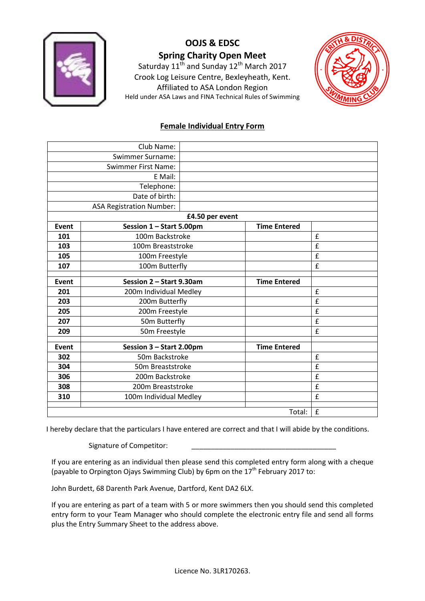

Saturday  $11^{th}$  and Sunday  $12^{th}$  March 2017 Crook Log Leisure Centre, Bexleyheath, Kent. Affiliated to ASA London Region Held under ASA Laws and FINA Technical Rules of Swimming



### **Female Individual Entry Form**

|              | Club Name:                      |                 |                     |   |
|--------------|---------------------------------|-----------------|---------------------|---|
|              | <b>Swimmer Surname:</b>         |                 |                     |   |
|              | <b>Swimmer First Name:</b>      |                 |                     |   |
|              | E Mail:                         |                 |                     |   |
|              | Telephone:                      |                 |                     |   |
|              | Date of birth:                  |                 |                     |   |
|              | <b>ASA Registration Number:</b> |                 |                     |   |
|              |                                 | £4.50 per event |                     |   |
| <b>Event</b> | Session 1 - Start 5.00pm        |                 | <b>Time Entered</b> |   |
| 101          | 100m Backstroke                 |                 |                     | £ |
| 103          | 100m Breaststroke               |                 |                     | £ |
| 105          | 100m Freestyle                  |                 |                     | £ |
| 107          |                                 | 100m Butterfly  |                     | £ |
|              |                                 |                 |                     |   |
| <b>Event</b> | Session 2 - Start 9.30am        |                 | <b>Time Entered</b> |   |
| 201          | 200m Individual Medley          |                 |                     | £ |
| 203          | 200m Butterfly                  |                 |                     | £ |
| 205          | 200m Freestyle                  |                 |                     | £ |
| 207          | 50m Butterfly                   |                 |                     | £ |
| 209          | 50m Freestyle                   |                 |                     | £ |
|              |                                 |                 |                     |   |
| <b>Event</b> | Session 3 - Start 2.00pm        |                 | <b>Time Entered</b> |   |
| 302          | 50m Backstroke                  |                 |                     | £ |
| 304          | 50m Breaststroke                |                 |                     | £ |
| 306          | 200m Backstroke                 |                 |                     | £ |
| 308          | 200m Breaststroke               |                 |                     | £ |
| 310          | 100m Individual Medley          |                 |                     | £ |
|              |                                 |                 |                     |   |
|              |                                 |                 | Total:              | £ |

I hereby declare that the particulars I have entered are correct and that I will abide by the conditions.

Signature of Competitor:

If you are entering as an individual then please send this completed entry form along with a cheque (payable to Orpington Ojays Swimming Club) by 6pm on the  $17<sup>th</sup>$  February 2017 to:

John Burdett, 68 Darenth Park Avenue, Dartford, Kent DA2 6LX.

If you are entering as part of a team with 5 or more swimmers then you should send this completed entry form to your Team Manager who should complete the electronic entry file and send all forms plus the Entry Summary Sheet to the address above.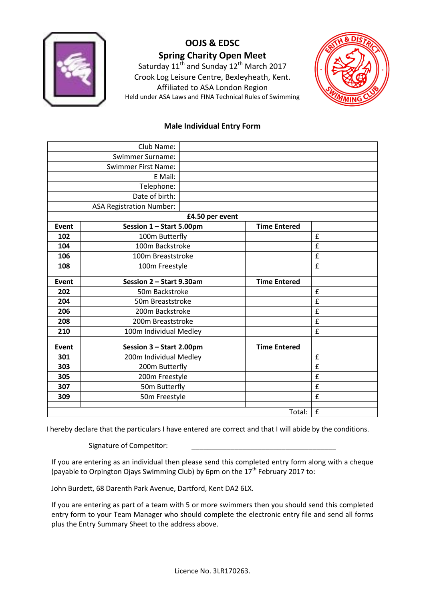

Saturday  $11^{th}$  and Sunday  $12^{th}$  March 2017 Crook Log Leisure Centre, Bexleyheath, Kent. Affiliated to ASA London Region Held under ASA Laws and FINA Technical Rules of Swimming



### **Male Individual Entry Form**

|              | Club Name:                      |                        |                     |   |
|--------------|---------------------------------|------------------------|---------------------|---|
|              | <b>Swimmer Surname:</b>         |                        |                     |   |
|              | <b>Swimmer First Name:</b>      |                        |                     |   |
|              | E Mail:                         |                        |                     |   |
|              | Telephone:                      |                        |                     |   |
|              | Date of birth:                  |                        |                     |   |
|              | <b>ASA Registration Number:</b> |                        |                     |   |
|              |                                 | £4.50 per event        |                     |   |
| <b>Event</b> | Session 1 - Start 5.00pm        |                        | <b>Time Entered</b> |   |
| 102          | 100m Butterfly                  |                        |                     | £ |
| 104          | 100m Backstroke                 |                        |                     | £ |
| 106          | 100m Breaststroke               |                        |                     | £ |
| 108          |                                 | 100m Freestyle         |                     | £ |
|              |                                 |                        |                     |   |
| Event        | Session 2 - Start 9.30am        |                        | <b>Time Entered</b> |   |
| 202          | 50m Backstroke                  |                        |                     | £ |
| 204          | 50m Breaststroke                |                        |                     | £ |
| 206          | 200m Backstroke                 |                        |                     | £ |
| 208          |                                 | 200m Breaststroke      |                     | £ |
| 210          |                                 | 100m Individual Medley |                     | £ |
| Event        | Session 3 - Start 2.00pm        |                        | <b>Time Entered</b> |   |
| 301          | 200m Individual Medley          |                        |                     | £ |
| 303          | 200m Butterfly                  |                        |                     | £ |
| 305          | 200m Freestyle                  |                        |                     | £ |
| 307          | 50m Butterfly                   |                        |                     | £ |
| 309          | 50m Freestyle                   |                        |                     | £ |
|              |                                 |                        | Total:              | £ |

I hereby declare that the particulars I have entered are correct and that I will abide by the conditions.

Signature of Competitor:

If you are entering as an individual then please send this completed entry form along with a cheque (payable to Orpington Ojays Swimming Club) by 6pm on the  $17<sup>th</sup>$  February 2017 to:

John Burdett, 68 Darenth Park Avenue, Dartford, Kent DA2 6LX.

If you are entering as part of a team with 5 or more swimmers then you should send this completed entry form to your Team Manager who should complete the electronic entry file and send all forms plus the Entry Summary Sheet to the address above.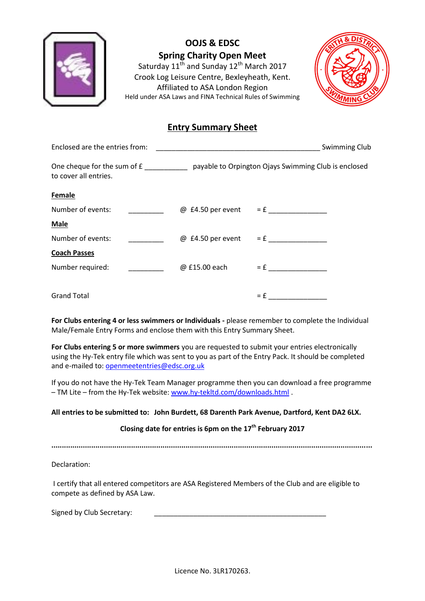

Saturday  $11^{th}$  and Sunday  $12^{th}$  March 2017 Crook Log Leisure Centre, Bexleyheath, Kent. Affiliated to ASA London Region Held under ASA Laws and FINA Technical Rules of Swimming



### **Entry Summary Sheet**

| Enclosed are the entries from: |                          |               | Swimming Club                                                                                   |  |  |
|--------------------------------|--------------------------|---------------|-------------------------------------------------------------------------------------------------|--|--|
| to cover all entries.          |                          |               | One cheque for the sum of £ ______________ payable to Orpington Ojays Swimming Club is enclosed |  |  |
| <b>Female</b>                  |                          |               |                                                                                                 |  |  |
| Number of events:              |                          |               | $\omega$ £4.50 per event = £                                                                    |  |  |
| <b>Male</b>                    |                          |               |                                                                                                 |  |  |
| Number of events:              |                          |               | $\omega$ £4.50 per event = £                                                                    |  |  |
| <b>Coach Passes</b>            |                          |               |                                                                                                 |  |  |
| Number required:               | $\overline{\phantom{a}}$ | @ £15.00 each | $= f$                                                                                           |  |  |
|                                |                          |               |                                                                                                 |  |  |
| <b>Grand Total</b>             |                          |               | $= f$                                                                                           |  |  |

**For Clubs entering 4 or less swimmers or Individuals -** please remember to complete the Individual Male/Female Entry Forms and enclose them with this Entry Summary Sheet.

**For Clubs entering 5 or more swimmers** you are requested to submit your entries electronically using the Hy-Tek entry file which was sent to you as part of the Entry Pack. It should be completed and e-mailed to: [openmeetentries@edsc.org.uk](mailto:openmeetentries@edsc.org.uk)

If you do not have the Hy-Tek Team Manager programme then you can download a free programme – TM Lite – from the Hy-Tek website[: www.hy-tekltd.com/downloads.html](http://www.hy-tekltd.com/downloads.html) .

#### **All entries to be submitted to: John Burdett, 68 Darenth Park Avenue, Dartford, Kent DA2 6LX.**

#### **Closing date for entries is 6pm on the 17th February 2017**

**.........................................................................................................................................................**

Declaration:

I certify that all entered competitors are ASA Registered Members of the Club and are eligible to compete as defined by ASA Law.

Signed by Club Secretary: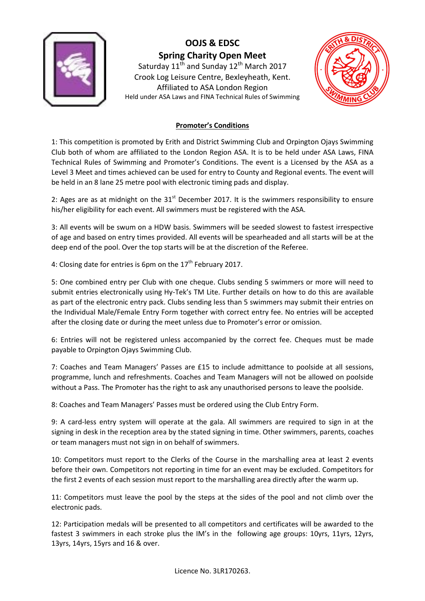

Saturday  $11<sup>th</sup>$  and Sunday  $12<sup>th</sup>$  March 2017 Crook Log Leisure Centre, Bexleyheath, Kent. Affiliated to ASA London Region Held under ASA Laws and FINA Technical Rules of Swimming



### **Promoter's Conditions**

1: This competition is promoted by Erith and District Swimming Club and Orpington Ojays Swimming Club both of whom are affiliated to the London Region ASA. It is to be held under ASA Laws, FINA Technical Rules of Swimming and Promoter's Conditions. The event is a Licensed by the ASA as a Level 3 Meet and times achieved can be used for entry to County and Regional events. The event will be held in an 8 lane 25 metre pool with electronic timing pads and display.

2: Ages are as at midnight on the  $31<sup>st</sup>$  December 2017. It is the swimmers responsibility to ensure his/her eligibility for each event. All swimmers must be registered with the ASA.

3: All events will be swum on a HDW basis. Swimmers will be seeded slowest to fastest irrespective of age and based on entry times provided. All events will be spearheaded and all starts will be at the deep end of the pool. Over the top starts will be at the discretion of the Referee.

4: Closing date for entries is 6pm on the  $17<sup>th</sup>$  February 2017.

5: One combined entry per Club with one cheque. Clubs sending 5 swimmers or more will need to submit entries electronically using Hy-Tek's TM Lite. Further details on how to do this are available as part of the electronic entry pack. Clubs sending less than 5 swimmers may submit their entries on the Individual Male/Female Entry Form together with correct entry fee. No entries will be accepted after the closing date or during the meet unless due to Promoter's error or omission.

6: Entries will not be registered unless accompanied by the correct fee. Cheques must be made payable to Orpington Ojays Swimming Club.

7: Coaches and Team Managers' Passes are £15 to include admittance to poolside at all sessions, programme, lunch and refreshments. Coaches and Team Managers will not be allowed on poolside without a Pass. The Promoter has the right to ask any unauthorised persons to leave the poolside.

8: Coaches and Team Managers' Passes must be ordered using the Club Entry Form.

9: A card-less entry system will operate at the gala. All swimmers are required to sign in at the signing in desk in the reception area by the stated signing in time. Other swimmers, parents, coaches or team managers must not sign in on behalf of swimmers.

10: Competitors must report to the Clerks of the Course in the marshalling area at least 2 events before their own. Competitors not reporting in time for an event may be excluded. Competitors for the first 2 events of each session must report to the marshalling area directly after the warm up.

11: Competitors must leave the pool by the steps at the sides of the pool and not climb over the electronic pads.

12: Participation medals will be presented to all competitors and certificates will be awarded to the fastest 3 swimmers in each stroke plus the IM's in the following age groups: 10yrs, 11yrs, 12yrs, 13yrs, 14yrs, 15yrs and 16 & over.